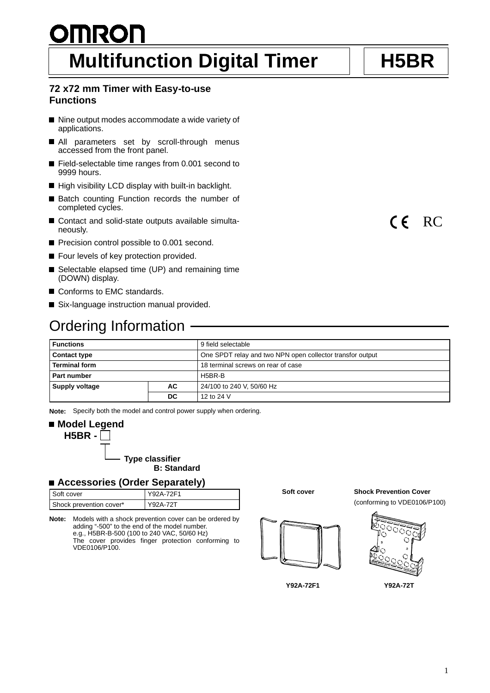# **OMRON Multifunction Digital Timer | | H5BR**

### **72 x72 mm Timer with Easy-to-use Functions**

- Nine output modes accommodate a wide variety of applications.
- All parameters set by scroll-through menus accessed from the front panel.
- Field-selectable time ranges from 0.001 second to 9999 hours.
- High visibility LCD display with built-in backlight.
- Batch counting Function records the number of completed cycles.
- Contact and solid-state outputs available simultaneously.
- Precision control possible to 0.001 second.
- Four levels of key protection provided.
- Selectable elapsed time (UP) and remaining time (DOWN) display.
- Conforms to EMC standards.
- Six-language instruction manual provided.

## **Ordering Information -**

| <b>Functions</b>                                                                 |  | 9 field selectable                 |  |
|----------------------------------------------------------------------------------|--|------------------------------------|--|
| One SPDT relay and two NPN open collector transfor output<br><b>Contact type</b> |  |                                    |  |
| <b>Terminal form</b>                                                             |  | 18 terminal screws on rear of case |  |
| Part number                                                                      |  | H5BR-B                             |  |
| Supply voltage<br>АC                                                             |  | 24/100 to 240 V, 50/60 Hz          |  |
| DC                                                                               |  | 12 to 24 V                         |  |

**Note:** Specify both the model and control power supply when ordering.

## ■ Model Legend **H5BR -**

**Type classifier B: Standard**

#### **Accessories (Order Separately)**

| Soft cover              | Y92A-72F1 |
|-------------------------|-----------|
| Shock prevention cover* | Y92A-72T  |

**Note:** Models with a shock prevention cover can be ordered by adding "-500" to the end of the model number. e.g., H5BR-B-500 (100 to 240 VAC, 50/60 Hz) The cover provides finger protection conforming to VDE0106/P100.

**Soft cover**



**Y92A-72F1**

**Shock Prevention Cover**

(conforming to VDE0106/P100)





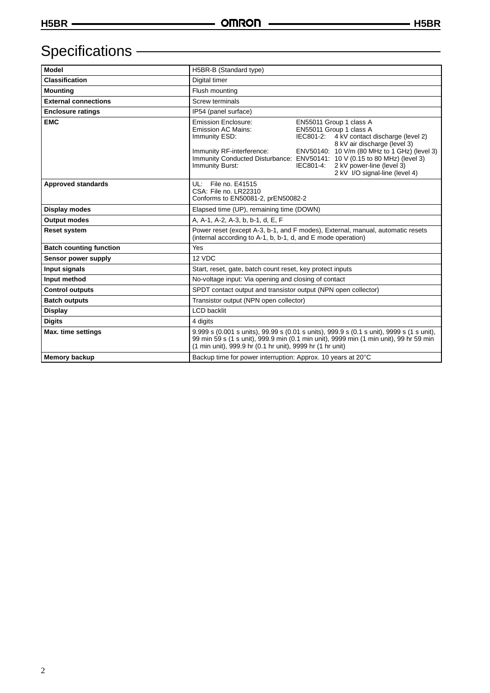# Specifications - **Constant Constant Constant Constant Constant Constant Constant Constant Constant Constant Constant Constant Constant Constant Constant Constant Constant Constant Constant Constant Constant Constant Consta**

| <b>Model</b>                   | H5BR-B (Standard type)                                                                                                                                                                                                                          |           |                                                                                                                                                                                                                                                 |  |
|--------------------------------|-------------------------------------------------------------------------------------------------------------------------------------------------------------------------------------------------------------------------------------------------|-----------|-------------------------------------------------------------------------------------------------------------------------------------------------------------------------------------------------------------------------------------------------|--|
| <b>Classification</b>          | Digital timer                                                                                                                                                                                                                                   |           |                                                                                                                                                                                                                                                 |  |
| <b>Mounting</b>                | Flush mounting                                                                                                                                                                                                                                  |           |                                                                                                                                                                                                                                                 |  |
| <b>External connections</b>    | Screw terminals                                                                                                                                                                                                                                 |           |                                                                                                                                                                                                                                                 |  |
| <b>Enclosure ratings</b>       | IP54 (panel surface)                                                                                                                                                                                                                            |           |                                                                                                                                                                                                                                                 |  |
| <b>EMC</b>                     | <b>Emission Enclosure:</b><br><b>Emission AC Mains:</b><br>Immunity ESD:<br>Immunity RF-interference:<br>Immunity Conducted Disturbance: ENV50141: 10 V (0.15 to 80 MHz) (level 3)<br><b>Immunity Burst:</b>                                    | IEC801-4: | EN55011 Group 1 class A<br>EN55011 Group 1 class A<br>IEC801-2: 4 kV contact discharge (level 2)<br>8 kV air discharge (level 3)<br>ENV50140: 10 V/m (80 MHz to 1 GHz) (level 3)<br>2 kV power-line (level 3)<br>2 kV I/O signal-line (level 4) |  |
| <b>Approved standards</b>      | UL: File no. E41515<br>CSA: File no. LR22310<br>Conforms to EN50081-2, prEN50082-2                                                                                                                                                              |           |                                                                                                                                                                                                                                                 |  |
| Display modes                  | Elapsed time (UP), remaining time (DOWN)                                                                                                                                                                                                        |           |                                                                                                                                                                                                                                                 |  |
| <b>Output modes</b>            | A, A-1, A-2, A-3, b, b-1, d, E, F                                                                                                                                                                                                               |           |                                                                                                                                                                                                                                                 |  |
| <b>Reset system</b>            | Power reset (except A-3, b-1, and F modes), External, manual, automatic resets<br>(internal according to A-1, b, b-1, d, and E mode operation)                                                                                                  |           |                                                                                                                                                                                                                                                 |  |
| <b>Batch counting function</b> | Yes                                                                                                                                                                                                                                             |           |                                                                                                                                                                                                                                                 |  |
| Sensor power supply            | 12 VDC                                                                                                                                                                                                                                          |           |                                                                                                                                                                                                                                                 |  |
| Input signals                  | Start, reset, gate, batch count reset, key protect inputs                                                                                                                                                                                       |           |                                                                                                                                                                                                                                                 |  |
| Input method                   | No-voltage input: Via opening and closing of contact                                                                                                                                                                                            |           |                                                                                                                                                                                                                                                 |  |
| <b>Control outputs</b>         | SPDT contact output and transistor output (NPN open collector)                                                                                                                                                                                  |           |                                                                                                                                                                                                                                                 |  |
| <b>Batch outputs</b>           | Transistor output (NPN open collector)                                                                                                                                                                                                          |           |                                                                                                                                                                                                                                                 |  |
| <b>Display</b>                 | <b>LCD</b> backlit                                                                                                                                                                                                                              |           |                                                                                                                                                                                                                                                 |  |
| <b>Digits</b>                  | 4 digits                                                                                                                                                                                                                                        |           |                                                                                                                                                                                                                                                 |  |
| Max. time settings             | 9.999 s (0.001 s units), 99.99 s (0.01 s units), 999.9 s (0.1 s unit), 9999 s (1 s unit),<br>99 min 59 s (1 s unit), 999.9 min (0.1 min unit), 9999 min (1 min unit), 99 hr 59 min<br>(1 min unit), 999.9 hr (0.1 hr unit), 9999 hr (1 hr unit) |           |                                                                                                                                                                                                                                                 |  |
| <b>Memory backup</b>           | Backup time for power interruption: Approx. 10 years at 20°C                                                                                                                                                                                    |           |                                                                                                                                                                                                                                                 |  |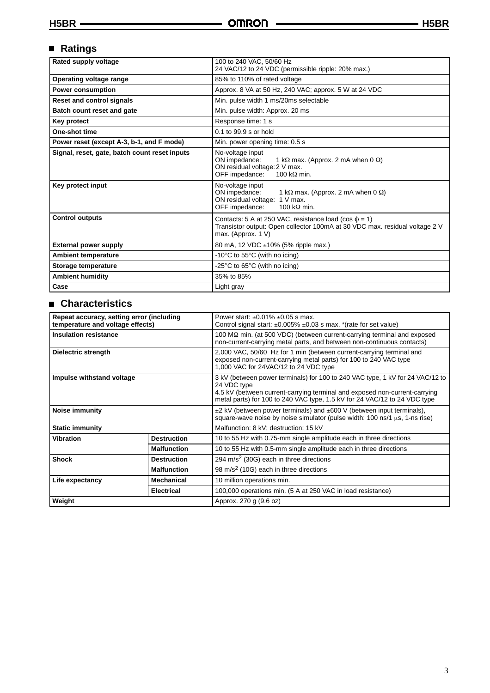## **Ratings**

| Rated supply voltage                          | 100 to 240 VAC, 50/60 Hz<br>24 VAC/12 to 24 VDC (permissible ripple: 20% max.)                                                                                   |  |  |
|-----------------------------------------------|------------------------------------------------------------------------------------------------------------------------------------------------------------------|--|--|
| Operating voltage range                       | 85% to 110% of rated voltage                                                                                                                                     |  |  |
| <b>Power consumption</b>                      | Approx. 8 VA at 50 Hz, 240 VAC; approx. 5 W at 24 VDC                                                                                                            |  |  |
| <b>Reset and control signals</b>              | Min. pulse width 1 ms/20ms selectable                                                                                                                            |  |  |
| Batch count reset and gate                    | Min. pulse width: Approx. 20 ms                                                                                                                                  |  |  |
| Key protect                                   | Response time: 1 s                                                                                                                                               |  |  |
| One-shot time                                 | 0.1 to 99.9 s or hold                                                                                                                                            |  |  |
| Power reset (except A-3, b-1, and F mode)     | Min. power opening time: 0.5 s                                                                                                                                   |  |  |
| Signal, reset, gate, batch count reset inputs | No-voltage input<br>ON impedance:<br>1 k $\Omega$ max. (Approx. 2 mA when 0 $\Omega$ )<br>ON residual voltage: 2 V max.<br>OFF impedance:<br>100 k $\Omega$ min. |  |  |
| Key protect input                             | No-voltage input<br>ON impedance:<br>1 k $\Omega$ max. (Approx. 2 mA when 0 $\Omega$ )<br>ON residual voltage: 1 V max.<br>OFF impedance:<br>100 k $\Omega$ min. |  |  |
| <b>Control outputs</b>                        | Contacts: 5 A at 250 VAC, resistance load (cos $\phi$ = 1)<br>Transistor output: Open collector 100mA at 30 VDC max. residual voltage 2 V<br>max. (Approx. 1 V)  |  |  |
| <b>External power supply</b>                  | 80 mA, 12 VDC ±10% (5% ripple max.)                                                                                                                              |  |  |
| <b>Ambient temperature</b>                    | -10°C to 55°C (with no icing)                                                                                                                                    |  |  |
| Storage temperature                           | -25 $\degree$ C to 65 $\degree$ C (with no icing)                                                                                                                |  |  |
| <b>Ambient humidity</b>                       | 35% to 85%                                                                                                                                                       |  |  |
| Case                                          | Light gray                                                                                                                                                       |  |  |

### **Characteristics**

| Repeat accuracy, setting error (including<br>temperature and voltage effects) |                        | Power start: $\pm 0.01\% \pm 0.05$ s max.<br>Control signal start: $\pm 0.005\% \pm 0.03$ s max. * (rate for set value)                                                                                                                                 |  |
|-------------------------------------------------------------------------------|------------------------|---------------------------------------------------------------------------------------------------------------------------------------------------------------------------------------------------------------------------------------------------------|--|
| <b>Insulation resistance</b>                                                  |                        | 100 MΩ min. (at 500 VDC) (between current-carrying terminal and exposed<br>non-current-carrying metal parts, and between non-continuous contacts)                                                                                                       |  |
| Dielectric strength                                                           |                        | 2,000 VAC, 50/60 Hz for 1 min (between current-carrying terminal and<br>exposed non-current-carrying metal parts) for 100 to 240 VAC type<br>1,000 VAC for 24VAC/12 to 24 VDC type                                                                      |  |
| Impulse withstand voltage                                                     |                        | 3 kV (between power terminals) for 100 to 240 VAC type, 1 kV for 24 VAC/12 to<br>24 VDC type<br>4.5 kV (between current-carrying terminal and exposed non-current-carrying<br>metal parts) for 100 to 240 VAC type, 1.5 kV for 24 VAC/12 to 24 VDC type |  |
| Noise immunity                                                                |                        | $\pm$ 2 kV (between power terminals) and $\pm$ 600 V (between input terminals),<br>square-wave noise by noise simulator (pulse width: $100 \text{ ns}/1 \mu s$ , 1-ns rise)                                                                             |  |
| <b>Static immunity</b>                                                        |                        | Malfunction: 8 kV; destruction: 15 kV                                                                                                                                                                                                                   |  |
| <b>Vibration</b>                                                              | <b>Destruction</b>     | 10 to 55 Hz with 0.75-mm single amplitude each in three directions                                                                                                                                                                                      |  |
|                                                                               | <b>Malfunction</b>     | 10 to 55 Hz with 0.5-mm single amplitude each in three directions                                                                                                                                                                                       |  |
| <b>Shock</b>                                                                  | <b>Destruction</b>     | 294 m/s <sup>2</sup> (30G) each in three directions                                                                                                                                                                                                     |  |
| <b>Malfunction</b>                                                            |                        | 98 m/s <sup>2</sup> (10G) each in three directions                                                                                                                                                                                                      |  |
| <b>Mechanical</b><br>Life expectancy                                          |                        | 10 million operations min.                                                                                                                                                                                                                              |  |
|                                                                               | <b>Electrical</b>      | 100,000 operations min. (5 A at 250 VAC in load resistance)                                                                                                                                                                                             |  |
| Weight                                                                        | Approx. 270 g (9.6 oz) |                                                                                                                                                                                                                                                         |  |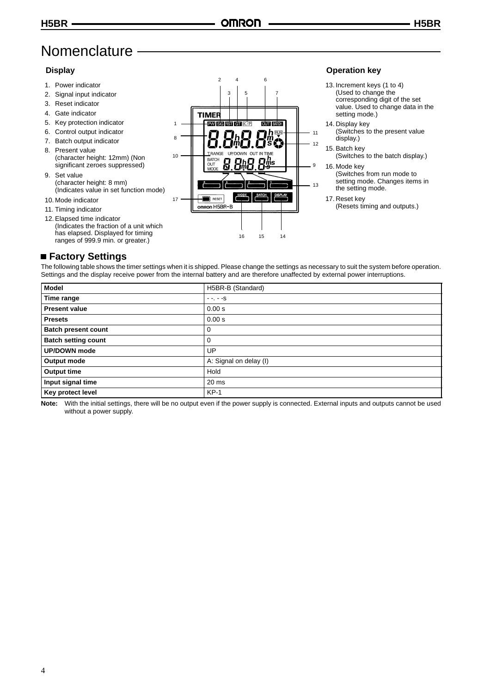## **Nomenclature**

#### **Display**

- 1. Power indicator
- 2. Signal input indicator
- 3. Reset indicator
- 4. Gate indicator
- 5. Key protection indicator 6. Control output indicator
- 7. Batch output indicator
- 8. Present value (character height: 12mm) (Non significant zeroes suppressed)
- 9. Set value (character height: 8 mm) (Indicates value in set function mode)
- 10. Mode indicator
- 11. Timing indicator
- 12. Elapsed time indicator (Indicates the fraction of a unit which has elapsed. Displayed for timing ranges of 999.9 min. or greater.)

#### 24 6 35 7 **TIME PW** 1 11 8  $12$ TRANGE 10 **RATCH** ōι q 13 RESE 17 omron H5BR-B 16 15 14

#### **Operation key**

- 13. Increment keys (1 to 4) (Used to change the corresponding digit of the set value. Used to change data in the setting mode.)
- 14. Display key
- (Switches to the present value display.)
- 15. Batch key (Switches to the batch display.)
- 16. Mode key (Switches from run mode to setting mode. Changes items in the setting mode.

17. Reset key (Resets timing and outputs.)

### **Factory Settings**

The following table shows the timer settings when it is shipped. Please change the settings as necessary to suit the system before operation. Settings and the display receive power from the internal battery and are therefore unaffected by external power interruptions.

| <b>Model</b>               | H5BR-B (Standard)      |
|----------------------------|------------------------|
| Time range                 | $- - - - S$            |
| <b>Present value</b>       | 0.00 s                 |
| <b>Presets</b>             | 0.00 s                 |
| <b>Batch present count</b> |                        |
| <b>Batch setting count</b> | 0                      |
| UP/DOWN mode               | UP                     |
| Output mode                | A: Signal on delay (I) |
| Output time                | Hold                   |
| Input signal time          | 20 <sub>ms</sub>       |
| Key protect level          | $KP-1$                 |

**Note:** With the initial settings, there will be no output even if the power supply is connected. External inputs and outputs cannot be used without a power supply.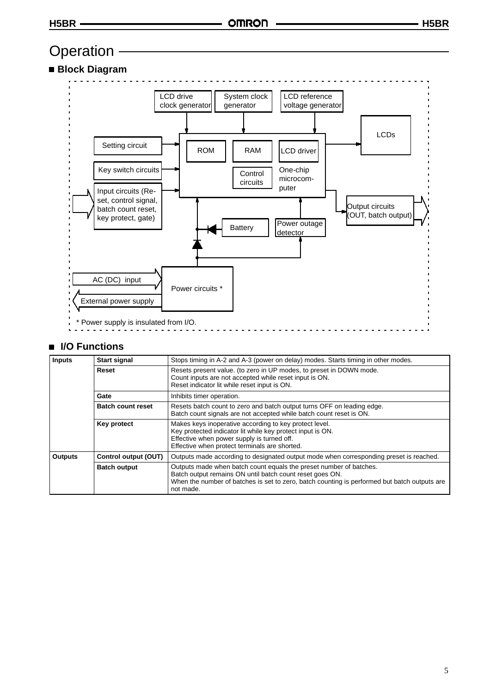## **Operation**

## **Block Diagram**



#### ■ I/O Functions

| <b>Inputs</b>       | <b>Start signal</b>      | Stops timing in A-2 and A-3 (power on delay) modes. Starts timing in other modes.                                                                                                                                                           |  |  |
|---------------------|--------------------------|---------------------------------------------------------------------------------------------------------------------------------------------------------------------------------------------------------------------------------------------|--|--|
|                     | Reset                    | Resets present value. (to zero in UP modes, to preset in DOWN mode.<br>Count inputs are not accepted while reset input is ON.<br>Reset indicator lit while reset input is ON.                                                               |  |  |
|                     | Gate                     | Inhibits timer operation.                                                                                                                                                                                                                   |  |  |
|                     | <b>Batch count reset</b> | Resets batch count to zero and batch output turns OFF on leading edge.<br>Batch count signals are not accepted while batch count reset is ON.                                                                                               |  |  |
|                     | Key protect              | Makes keys inoperative according to key protect level.<br>Key protected indicator lit while key protect input is ON.<br>Effective when power supply is turned off.<br>Effective when protect terminals are shorted.                         |  |  |
| <b>Outputs</b>      | Control output (OUT)     | Outputs made according to designated output mode when corresponding preset is reached.                                                                                                                                                      |  |  |
| <b>Batch output</b> |                          | Outputs made when batch count equals the preset number of batches.<br>Batch output remains ON until batch count reset goes ON.<br>When the number of batches is set to zero, batch counting is performed but batch outputs are<br>not made. |  |  |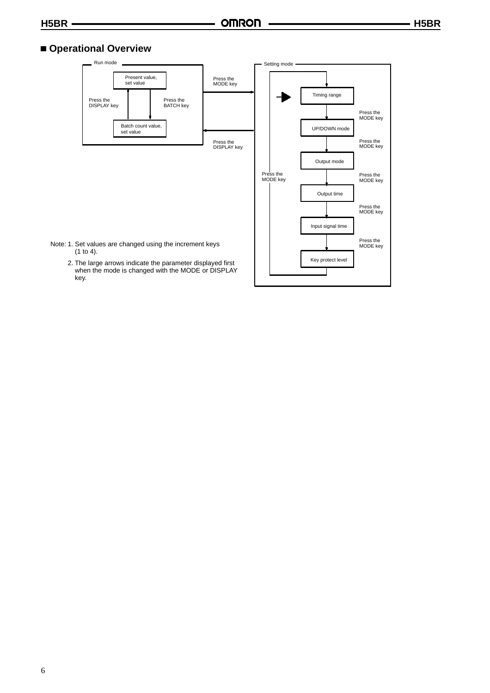#### **Operational Overview**

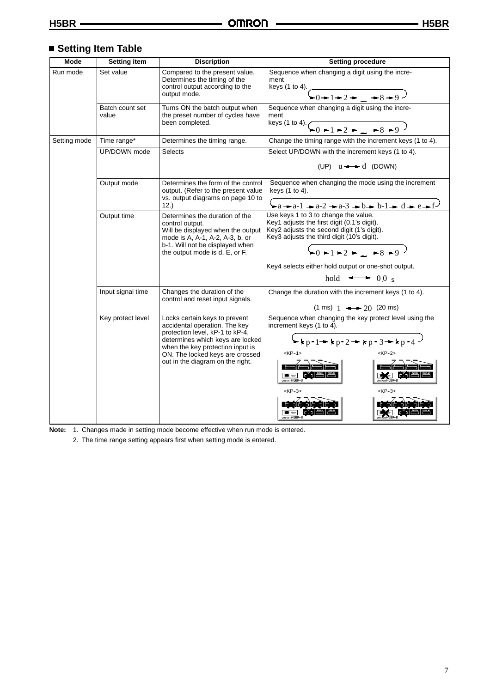## **Setting Item Table**

| <b>Mode</b>                                                                                                                                                              | <b>Setting item</b>      | <b>Discription</b>                                                                                                                                                                                                                                    | <b>Setting procedure</b>                                                                                                                                                                                                                                            |  |
|--------------------------------------------------------------------------------------------------------------------------------------------------------------------------|--------------------------|-------------------------------------------------------------------------------------------------------------------------------------------------------------------------------------------------------------------------------------------------------|---------------------------------------------------------------------------------------------------------------------------------------------------------------------------------------------------------------------------------------------------------------------|--|
| Run mode                                                                                                                                                                 | Set value                | Compared to the present value.<br>Determines the timing of the<br>control output according to the<br>output mode.                                                                                                                                     | Sequence when changing a digit using the incre-<br>ment<br>keys (1 to 4). $\left(1 + 2 + \frac{3}{2} + 8 + 9\right)$                                                                                                                                                |  |
|                                                                                                                                                                          | Batch count set<br>value | Turns ON the batch output when<br>the preset number of cycles have<br>been completed.                                                                                                                                                                 | Sequence when changing a digit using the incre-<br>ment<br>keys (1 to 4). $\underbrace{6 + 1 + 2 + \dots + 8 + 9}$                                                                                                                                                  |  |
| Setting mode                                                                                                                                                             | Time range*              | Determines the timing range.                                                                                                                                                                                                                          | Change the timing range with the increment keys (1 to 4).                                                                                                                                                                                                           |  |
|                                                                                                                                                                          | UP/DOWN mode             | <b>Selects</b>                                                                                                                                                                                                                                        | Select UP/DOWN with the increment keys (1 to 4).<br>(UP) $u \rightarrow d$ (DOWN)                                                                                                                                                                                   |  |
|                                                                                                                                                                          | Output mode              | Sequence when changing the mode using the increment<br>Determines the form of the control<br>keys (1 to 4).<br>output. (Refer to the present value<br>vs. output diagrams on page 10 to<br>$a - a - 1 - a - 2 - a - 3 - b - b - 1 - d - e - f$<br>12. |                                                                                                                                                                                                                                                                     |  |
| Output time<br>Determines the duration of the<br>control output.<br>mode is A, A-1, A-2, A-3, b, or<br>b-1. Will not be displayed when<br>the output mode is d, E, or F. |                          | Will be displayed when the output                                                                                                                                                                                                                     | Use keys 1 to 3 to change the value.<br>Key1 adjusts the first digit (0.1's digit).<br>Key2 adjusts the second digit (1's digit).<br>Key3 adjusts the third digit (10's digit).<br>$-0+1-2$ + $-8-9$<br>Key4 selects either hold output or one-shot output.         |  |
|                                                                                                                                                                          |                          |                                                                                                                                                                                                                                                       | hold $\longrightarrow$ 0.0 s                                                                                                                                                                                                                                        |  |
|                                                                                                                                                                          | Input signal time        | Changes the duration of the<br>control and reset input signals.                                                                                                                                                                                       | Change the duration with the increment keys (1 to 4).<br>$(1 \text{ ms})$ 1 $\longrightarrow$ 20 (20 ms)                                                                                                                                                            |  |
|                                                                                                                                                                          | Key protect level        | Locks certain keys to prevent<br>accidental operation. The key<br>protection level, kP-1 to kP-4,<br>determines which keys are locked<br>when the key protection input is<br>ON. The locked keys are crossed<br>out in the diagram on the right.      | Sequence when changing the key protect level using the<br>increment keys (1 to 4).<br>$\blacktriangleright$ kp-1 + kp-2 + kp-3 + kp-4<br>$KP-1>$<br>$<$ KP-2><br><b>EXIT</b> RESET<br>mnon H5BR-B<br>$<$ KP-3><br>$<$ KP-3><br>$\blacksquare$ neser<br>omnon H5BR-E |  |

**Note:** 1. Changes made in setting mode become effective when run mode is entered.

2. The time range setting appears first when setting mode is entered.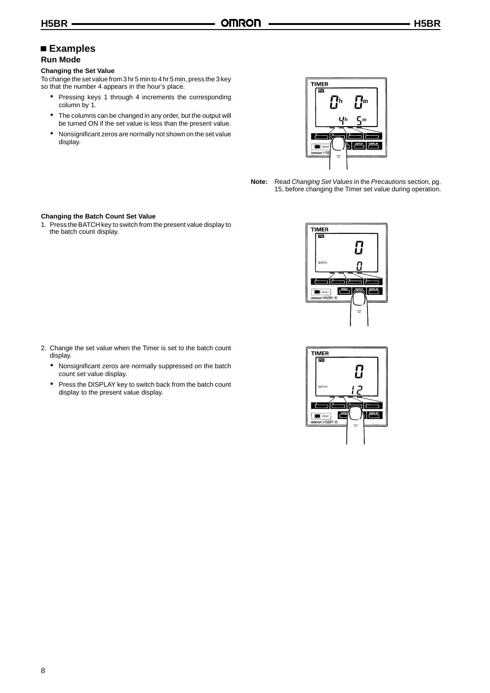### **Examples**

#### **Run Mode**

#### **Changing the Set Value**

To change the set value from 3 hr 5 min to 4 hr 5 min, press the 3 key so that the number 4 appears in the hour's place.

- & Pressing keys 1 through 4 increments the corresponding column by 1.
- & The columns can be changed in any order, but the output will be turned ON if the set value is less than the present value.
- & Nonsignificant zeros are normally not shown on the set value display.



**Note:** Read *Changing Set Values* in the *Precautions* section, pg. 15, before changing the Timer set value during operation.

#### **Changing the Batch Count Set Value**

1. Press the BATCH key to switch from the present value display to the batch count display.

- 2. Change the set value when the Timer is set to the batch count display.
	- & Nonsignificant zeros are normally suppressed on the batch count set value display.
	- & Press the DISPLAY key to switch back from the batch count display to the present value display.



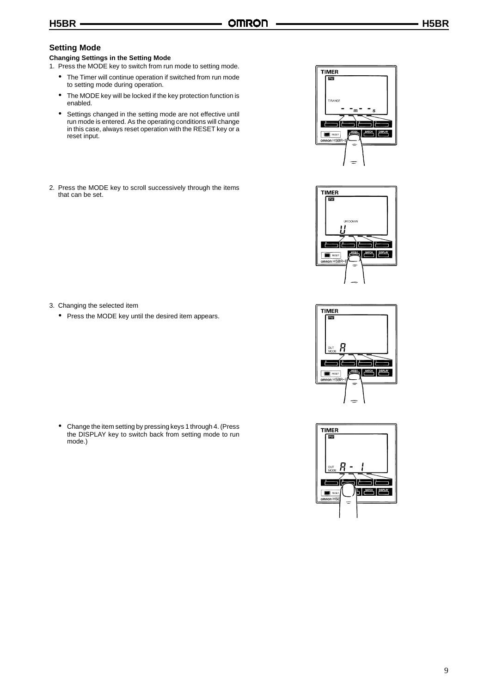#### **Setting Mode**

#### **Changing Settings in the Setting Mode**

- 1. Press the MODE key to switch from run mode to setting mode.
	- & The Timer will continue operation if switched from run mode to setting mode during operation.
	- & The MODE key will be locked if the key protection function is enabled.
	- & Settings changed in the setting mode are not effective until run mode is entered. As the operating conditions will change in this case, always reset operation with the RESET key or a reset input.
- 2. Press the MODE key to scroll successively through the items that can be set.



& Press the MODE key until the desired item appears.

3. Changing the selected item

& Change the item setting by pressing keys 1 through 4. (Press the DISPLAY key to switch back from setting mode to run mode.)







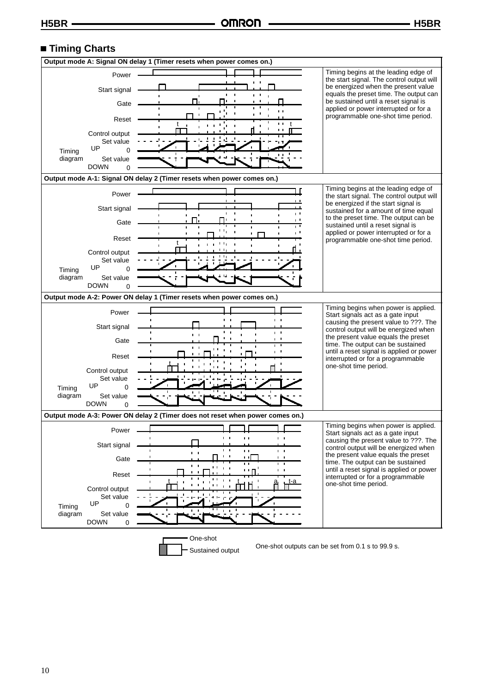#### **Timing Charts**



Sustained output One-shot outputs can be set from 0.1 s to 99.9 s.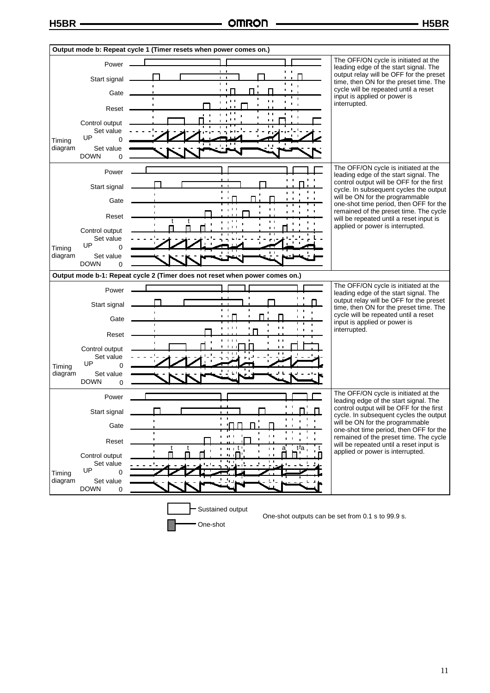

One-shot

One-shot outputs can be set from 0.1 s to 99.9 s.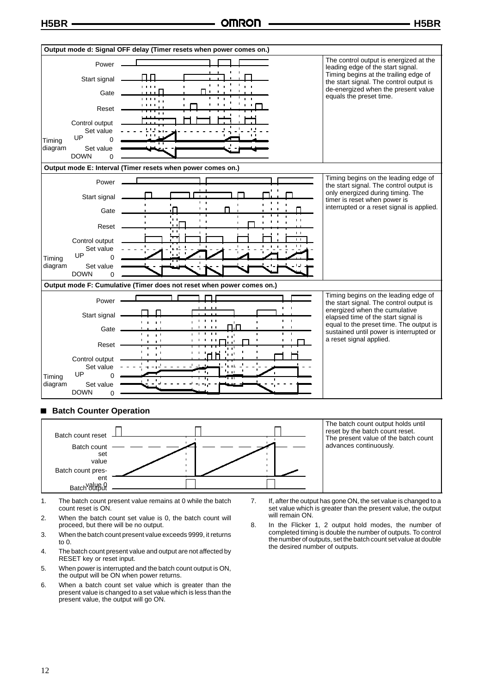

#### **Batch Counter Operation**  $\blacksquare$



1. The batch count present value remains at 0 while the batch count reset is ON.

2. When the batch count set value is 0, the batch count will proceed, but there will be no output.

3. When the batch count present value exceeds 9999, it returns to 0.

- 4. The batch count present value and output are not affected by RESET key or reset input.
- 5. When power is interrupted and the batch count output is ON, the output will be ON when power returns.
- 6. When a batch count set value which is greater than the present value is changed to a set value which is less than the present value, the output will go ON.
- 7. If, after the output has gone ON, the set value is changed to a set value which is greater than the present value, the output will remain ON.
- 8. In the Flicker 1, 2 output hold modes, the number of completed timing is double the number of outputs. To control the number of outputs, set the batch count set value at double the desired number of outputs.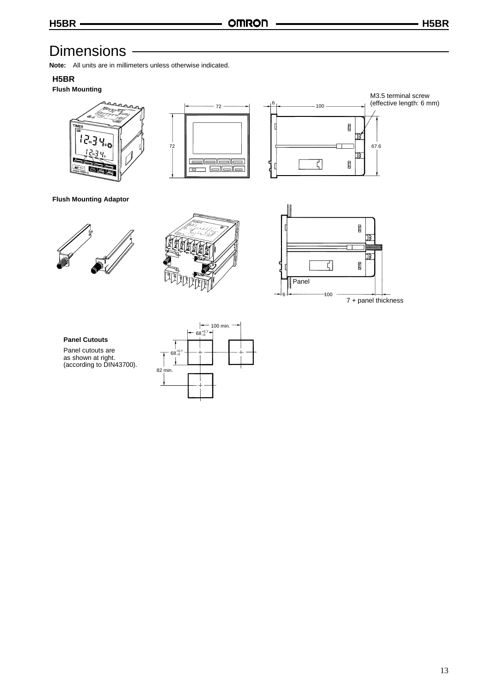## **Dimensions**

**Note:** All units are in millimeters unless otherwise indicated.

#### **H5BR**

#### **Flush Mounting**







M3.5 terminal screw (effective length: 6 mm)

**Flush Mounting Adaptor**





#### **Panel Cutouts** Panel cutouts are

as shown at right. (according to DIN43700).

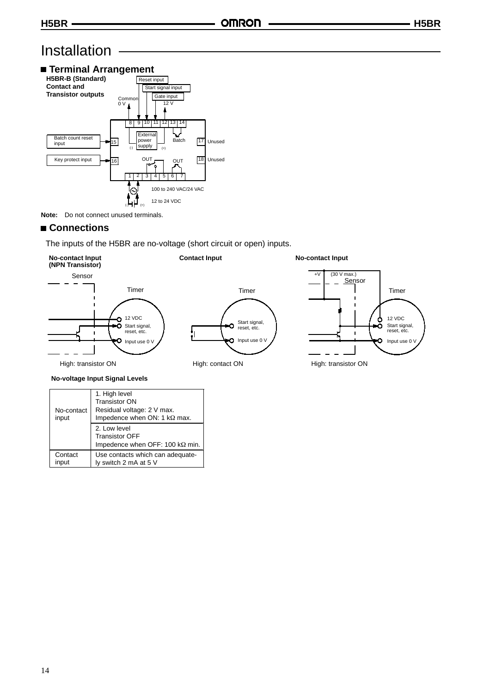## Installation



**Note:** Do not connect unused terminals.

#### ■ Connections

Contact input

The inputs of the H5BR are no-voltage (short circuit or open) inputs.



| No-contact<br>input | 1. High level<br>Transistor ON<br>Residual voltage: 2 V max.<br>Impedence when ON: 1 kΩ max. |
|---------------------|----------------------------------------------------------------------------------------------|
|                     | 2. Low level<br><b>Transistor OFF</b><br>Impedence when OFF: 100 kΩ min.                     |

ly switch 2 mA at 5 V

Use contacts which can adequate-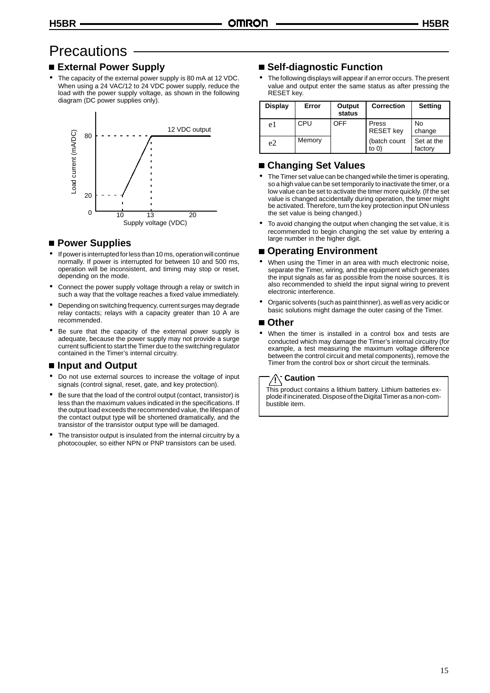## **Precautions**

#### **External Power Supply**

The capacity of the external power supply is 80 mA at 12 VDC. When using a 24 VAC/12 to 24 VDC power supply, reduce the load with the power supply voltage, as shown in the following diagram (DC power supplies only).



#### ■ Power Supplies

- If power is interrupted for less than 10 ms, operation will continue normally. If power is interrupted for between 10 and 500 ms, operation will be inconsistent, and timing may stop or reset, depending on the mode.
- Connect the power supply voltage through a relay or switch in such a way that the voltage reaches a fixed value immediately.
- Depending on switching frequency, current surges may degrade relay contacts; relays with a capacity greater than 10 A are recommended.
- Be sure that the capacity of the external power supply is adequate, because the power supply may not provide a surge current sufficient to start the Timer due to the switching regulator contained in the Timer's internal circuitry.

#### ■ Input and Output

- Do not use external sources to increase the voltage of input signals (control signal, reset, gate, and key protection).
- Be sure that the load of the control output (contact, transistor) is less than the maximum values indicated in the specifications. If the output load exceeds the recommended value, the lifespan of the contact output type will be shortened dramatically, and the transistor of the transistor output type will be damaged.
- The transistor output is insulated from the internal circuitry by a photocoupler, so either NPN or PNP transistors can be used.

#### **Self-diagnostic Function**

The following displays will appear if an error occurs. The present value and output enter the same status as after pressing the RESET key.

| Display | Error  | Output<br>status | <b>Correction</b>         | <b>Setting</b>        |
|---------|--------|------------------|---------------------------|-----------------------|
| e1      | CPU    | OFF              | Press<br><b>RESET</b> key | <b>No</b><br>change   |
| e2      | Memory |                  | (batch count<br>to $0)$   | Set at the<br>factory |

#### **Changing Set Values**

- The Timer set value can be changed while the timer is operating, so a high value can be set temporarily to inactivate the timer, or a low value can be set to activate the timer more quickly. (If the set value is changed accidentally during operation, the timer might be activated. Therefore, turn the key protection input ON unless the set value is being changed.)
- To avoid changing the output when changing the set value, it is recommended to begin changing the set value by entering a large number in the higher digit.

#### **Operating Environment**

- When using the Timer in an area with much electronic noise, separate the Timer, wiring, and the equipment which generates the input signals as far as possible from the noise sources. It is also recommended to shield the input signal wiring to prevent electronic interference.
- & Organic solvents (such as paint thinner), as well as very acidic or basic solutions might damage the outer casing of the Timer.

#### **Other**

When the timer is installed in a control box and tests are conducted which may damage the Timer's internal circuitry (for example, a test measuring the maximum voltage difference between the control circuit and metal components), remove the Timer from the control box or short circuit the terminals.

#### **Caution !**

This product contains a lithium battery. Lithium batteries explode if incinerated. Dispose of the Digital Timer as a non-combustible item.